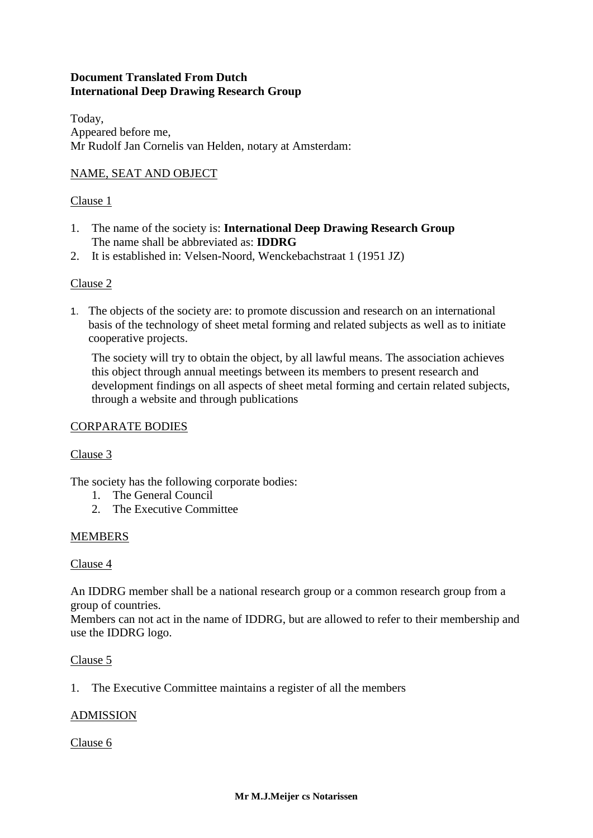# **Document Translated From Dutch International Deep Drawing Research Group**

Today, Appeared before me, Mr Rudolf Jan Cornelis van Helden, notary at Amsterdam:

## NAME, SEAT AND OBJECT

#### Clause 1

- 1. The name of the society is: **International Deep Drawing Research Group** The name shall be abbreviated as: **IDDRG**
- 2. It is established in: Velsen-Noord, Wenckebachstraat 1 (1951 JZ)

#### Clause 2

1. The objects of the society are: to promote discussion and research on an international basis of the technology of sheet metal forming and related subjects as well as to initiate cooperative projects.

The society will try to obtain the object, by all lawful means. The association achieves this object through annual meetings between its members to present research and development findings on all aspects of sheet metal forming and certain related subjects, through a website and through publications

#### CORPARATE BODIES

#### Clause 3

The society has the following corporate bodies:

- 1. The General Council
- 2. The Executive Committee

#### MEMBERS

#### Clause 4

An IDDRG member shall be a national research group or a common research group from a group of countries.

Members can not act in the name of IDDRG, but are allowed to refer to their membership and use the IDDRG logo.

#### Clause 5

1. The Executive Committee maintains a register of all the members

#### ADMISSION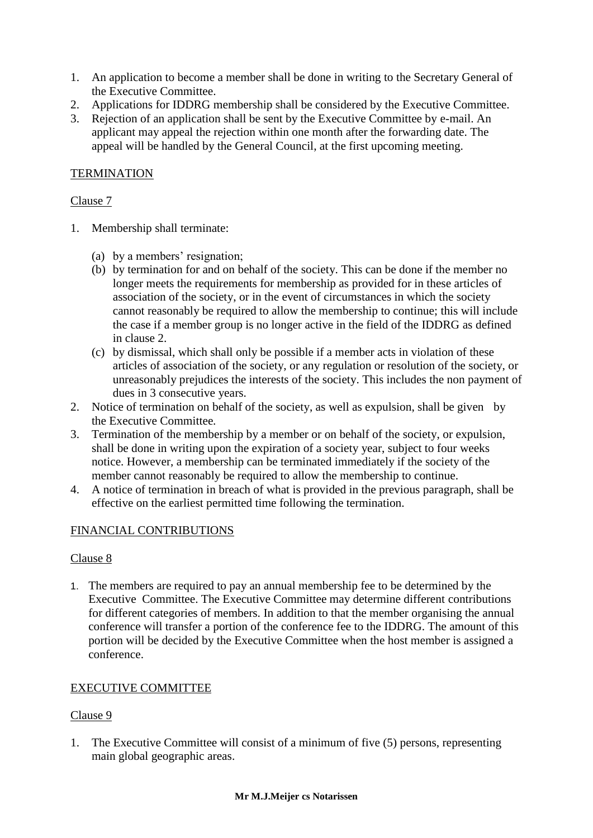- 1. An application to become a member shall be done in writing to the Secretary General of the Executive Committee.
- 2. Applications for IDDRG membership shall be considered by the Executive Committee.
- 3. Rejection of an application shall be sent by the Executive Committee by e-mail. An applicant may appeal the rejection within one month after the forwarding date. The appeal will be handled by the General Council, at the first upcoming meeting.

## **TERMINATION**

### Clause 7

- 1. Membership shall terminate:
	- (a) by a members' resignation;
	- (b) by termination for and on behalf of the society. This can be done if the member no longer meets the requirements for membership as provided for in these articles of association of the society, or in the event of circumstances in which the society cannot reasonably be required to allow the membership to continue; this will include the case if a member group is no longer active in the field of the IDDRG as defined in clause 2.
	- (c) by dismissal, which shall only be possible if a member acts in violation of these articles of association of the society, or any regulation or resolution of the society, or unreasonably prejudices the interests of the society. This includes the non payment of dues in 3 consecutive years.
- 2. Notice of termination on behalf of the society, as well as expulsion, shall be given by the Executive Committee.
- 3. Termination of the membership by a member or on behalf of the society, or expulsion, shall be done in writing upon the expiration of a society year, subject to four weeks notice. However, a membership can be terminated immediately if the society of the member cannot reasonably be required to allow the membership to continue.
- 4. A notice of termination in breach of what is provided in the previous paragraph, shall be effective on the earliest permitted time following the termination.

## FINANCIAL CONTRIBUTIONS

#### Clause 8

1. The members are required to pay an annual membership fee to be determined by the Executive Committee. The Executive Committee may determine different contributions for different categories of members. In addition to that the member organising the annual conference will transfer a portion of the conference fee to the IDDRG. The amount of this portion will be decided by the Executive Committee when the host member is assigned a conference.

## EXECUTIVE COMMITTEE

#### Clause 9

1. The Executive Committee will consist of a minimum of five (5) persons, representing main global geographic areas.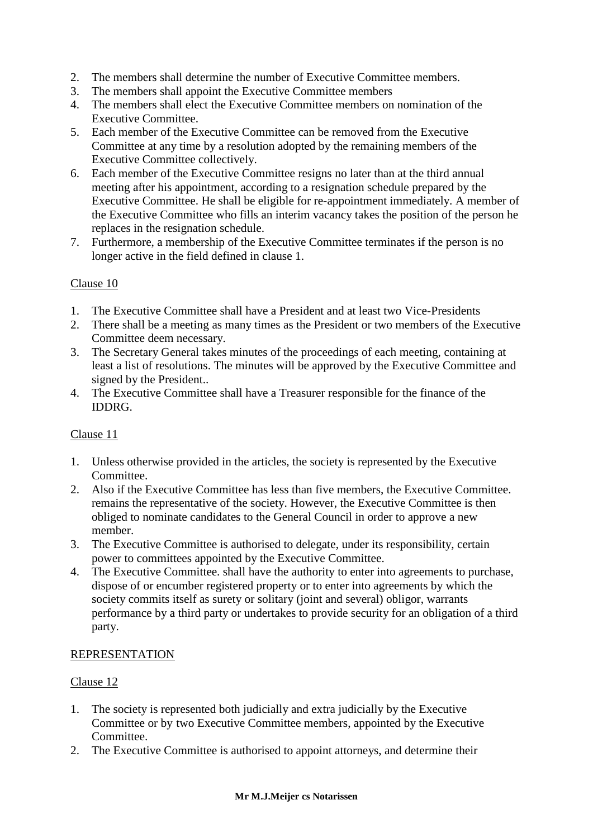- 2. The members shall determine the number of Executive Committee members.
- 3. The members shall appoint the Executive Committee members
- 4. The members shall elect the Executive Committee members on nomination of the Executive Committee.
- 5. Each member of the Executive Committee can be removed from the Executive Committee at any time by a resolution adopted by the remaining members of the Executive Committee collectively.
- 6. Each member of the Executive Committee resigns no later than at the third annual meeting after his appointment, according to a resignation schedule prepared by the Executive Committee. He shall be eligible for re-appointment immediately. A member of the Executive Committee who fills an interim vacancy takes the position of the person he replaces in the resignation schedule.
- 7. Furthermore, a membership of the Executive Committee terminates if the person is no longer active in the field defined in clause 1.

### Clause 10

- 1. The Executive Committee shall have a President and at least two Vice-Presidents
- 2. There shall be a meeting as many times as the President or two members of the Executive Committee deem necessary.
- 3. The Secretary General takes minutes of the proceedings of each meeting, containing at least a list of resolutions. The minutes will be approved by the Executive Committee and signed by the President..
- 4. The Executive Committee shall have a Treasurer responsible for the finance of the IDDRG.

## Clause 11

- 1. Unless otherwise provided in the articles, the society is represented by the Executive Committee.
- 2. Also if the Executive Committee has less than five members, the Executive Committee. remains the representative of the society. However, the Executive Committee is then obliged to nominate candidates to the General Council in order to approve a new member.
- 3. The Executive Committee is authorised to delegate, under its responsibility, certain power to committees appointed by the Executive Committee.
- 4. The Executive Committee. shall have the authority to enter into agreements to purchase, dispose of or encumber registered property or to enter into agreements by which the society commits itself as surety or solitary (joint and several) obligor, warrants performance by a third party or undertakes to provide security for an obligation of a third party.

#### REPRESENTATION

- 1. The society is represented both judicially and extra judicially by the Executive Committee or by two Executive Committee members, appointed by the Executive Committee.
- 2. The Executive Committee is authorised to appoint attorneys, and determine their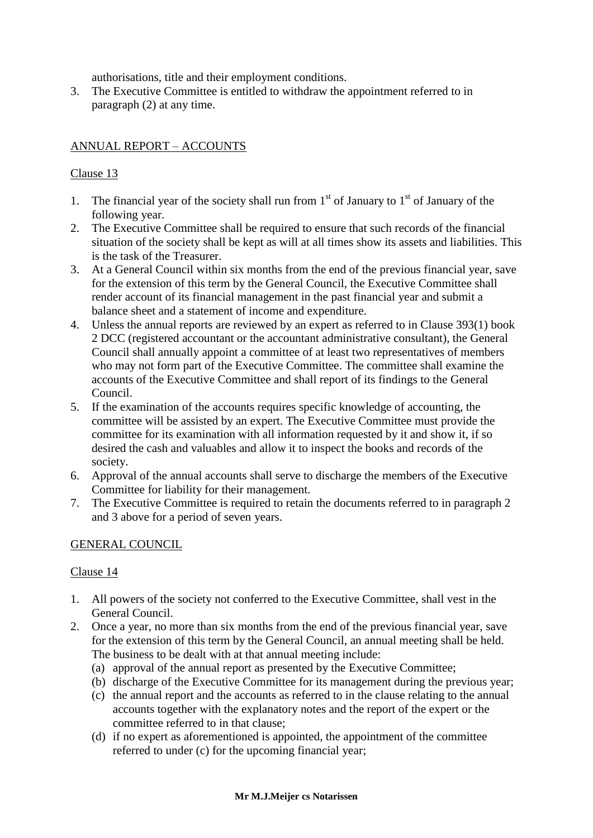authorisations, title and their employment conditions.

3. The Executive Committee is entitled to withdraw the appointment referred to in paragraph (2) at any time.

# ANNUAL REPORT – ACCOUNTS

## Clause 13

- 1. The financial year of the society shall run from  $1<sup>st</sup>$  of January to  $1<sup>st</sup>$  of January of the following year.
- 2. The Executive Committee shall be required to ensure that such records of the financial situation of the society shall be kept as will at all times show its assets and liabilities. This is the task of the Treasurer.
- 3. At a General Council within six months from the end of the previous financial year, save for the extension of this term by the General Council, the Executive Committee shall render account of its financial management in the past financial year and submit a balance sheet and a statement of income and expenditure.
- 4. Unless the annual reports are reviewed by an expert as referred to in Clause 393(1) book 2 DCC (registered accountant or the accountant administrative consultant), the General Council shall annually appoint a committee of at least two representatives of members who may not form part of the Executive Committee. The committee shall examine the accounts of the Executive Committee and shall report of its findings to the General Council.
- 5. If the examination of the accounts requires specific knowledge of accounting, the committee will be assisted by an expert. The Executive Committee must provide the committee for its examination with all information requested by it and show it, if so desired the cash and valuables and allow it to inspect the books and records of the society.
- 6. Approval of the annual accounts shall serve to discharge the members of the Executive Committee for liability for their management.
- 7. The Executive Committee is required to retain the documents referred to in paragraph 2 and 3 above for a period of seven years.

#### GENERAL COUNCIL

- 1. All powers of the society not conferred to the Executive Committee, shall vest in the General Council.
- 2. Once a year, no more than six months from the end of the previous financial year, save for the extension of this term by the General Council, an annual meeting shall be held. The business to be dealt with at that annual meeting include:
	- (a) approval of the annual report as presented by the Executive Committee;
	- (b) discharge of the Executive Committee for its management during the previous year;
	- (c) the annual report and the accounts as referred to in the clause relating to the annual accounts together with the explanatory notes and the report of the expert or the committee referred to in that clause;
	- (d) if no expert as aforementioned is appointed, the appointment of the committee referred to under (c) for the upcoming financial year;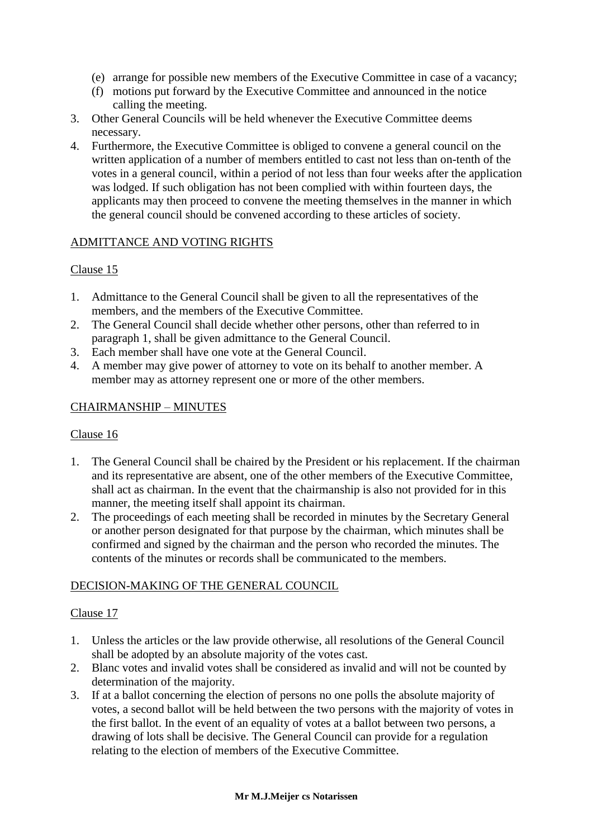- (e) arrange for possible new members of the Executive Committee in case of a vacancy;
- (f) motions put forward by the Executive Committee and announced in the notice calling the meeting.
- 3. Other General Councils will be held whenever the Executive Committee deems necessary.
- 4. Furthermore, the Executive Committee is obliged to convene a general council on the written application of a number of members entitled to cast not less than on-tenth of the votes in a general council, within a period of not less than four weeks after the application was lodged. If such obligation has not been complied with within fourteen days, the applicants may then proceed to convene the meeting themselves in the manner in which the general council should be convened according to these articles of society.

## ADMITTANCE AND VOTING RIGHTS

### Clause 15

- 1. Admittance to the General Council shall be given to all the representatives of the members, and the members of the Executive Committee.
- 2. The General Council shall decide whether other persons, other than referred to in paragraph 1, shall be given admittance to the General Council.
- 3. Each member shall have one vote at the General Council.
- 4. A member may give power of attorney to vote on its behalf to another member. A member may as attorney represent one or more of the other members.

### CHAIRMANSHIP – MINUTES

#### Clause 16

- 1. The General Council shall be chaired by the President or his replacement. If the chairman and its representative are absent, one of the other members of the Executive Committee, shall act as chairman. In the event that the chairmanship is also not provided for in this manner, the meeting itself shall appoint its chairman.
- 2. The proceedings of each meeting shall be recorded in minutes by the Secretary General or another person designated for that purpose by the chairman, which minutes shall be confirmed and signed by the chairman and the person who recorded the minutes. The contents of the minutes or records shall be communicated to the members.

#### DECISION-MAKING OF THE GENERAL COUNCIL

- 1. Unless the articles or the law provide otherwise, all resolutions of the General Council shall be adopted by an absolute majority of the votes cast.
- 2. Blanc votes and invalid votes shall be considered as invalid and will not be counted by determination of the majority.
- 3. If at a ballot concerning the election of persons no one polls the absolute majority of votes, a second ballot will be held between the two persons with the majority of votes in the first ballot. In the event of an equality of votes at a ballot between two persons, a drawing of lots shall be decisive. The General Council can provide for a regulation relating to the election of members of the Executive Committee.